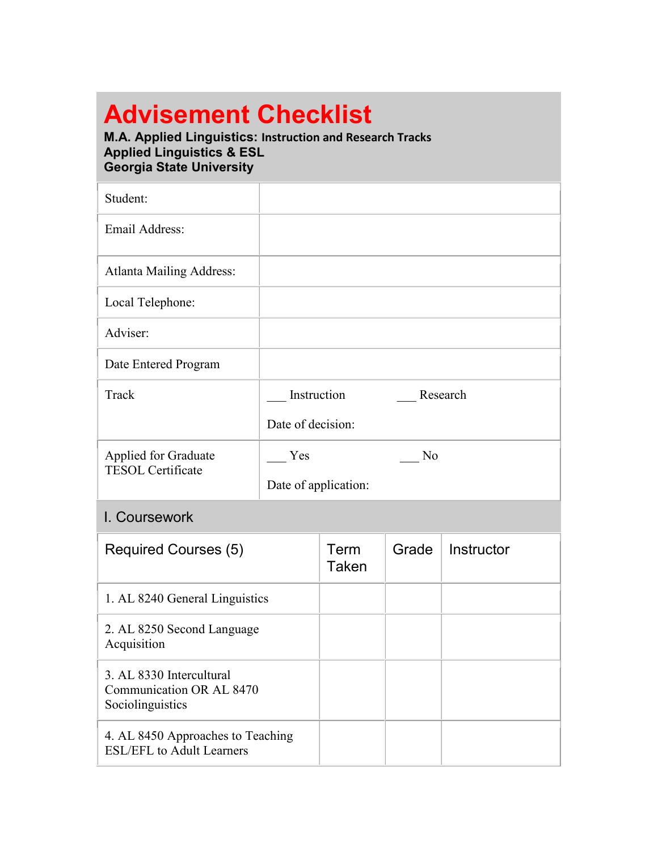# **Advisement Checklist**

#### **M.A. Applied Linguistics: Instruction and Research Tracks Applied Linguistics & ESL Georgia State University**

| Student:                                                                 |                      |               |                |            |
|--------------------------------------------------------------------------|----------------------|---------------|----------------|------------|
| Email Address:                                                           |                      |               |                |            |
| <b>Atlanta Mailing Address:</b>                                          |                      |               |                |            |
| Local Telephone:                                                         |                      |               |                |            |
| Adviser:                                                                 |                      |               |                |            |
| Date Entered Program                                                     |                      |               |                |            |
| Track                                                                    | Instruction          |               |                | Research   |
|                                                                          | Date of decision:    |               |                |            |
| <b>Applied for Graduate</b><br><b>TESOL Certificate</b>                  | Yes                  |               | N <sub>o</sub> |            |
|                                                                          | Date of application: |               |                |            |
| I. Coursework                                                            |                      |               |                |            |
| <b>Required Courses (5)</b>                                              |                      | Term<br>Taken | Grade          | Instructor |
| 1. AL 8240 General Linguistics                                           |                      |               |                |            |
| 2. AL 8250 Second Language<br>Acquisition                                |                      |               |                |            |
| 3. AL 8330 Intercultural<br>Communication OR AL 8470<br>Sociolinguistics |                      |               |                |            |
| 4. AL 8450 Approaches to Teaching<br><b>ESL/EFL</b> to Adult Learners    |                      |               |                |            |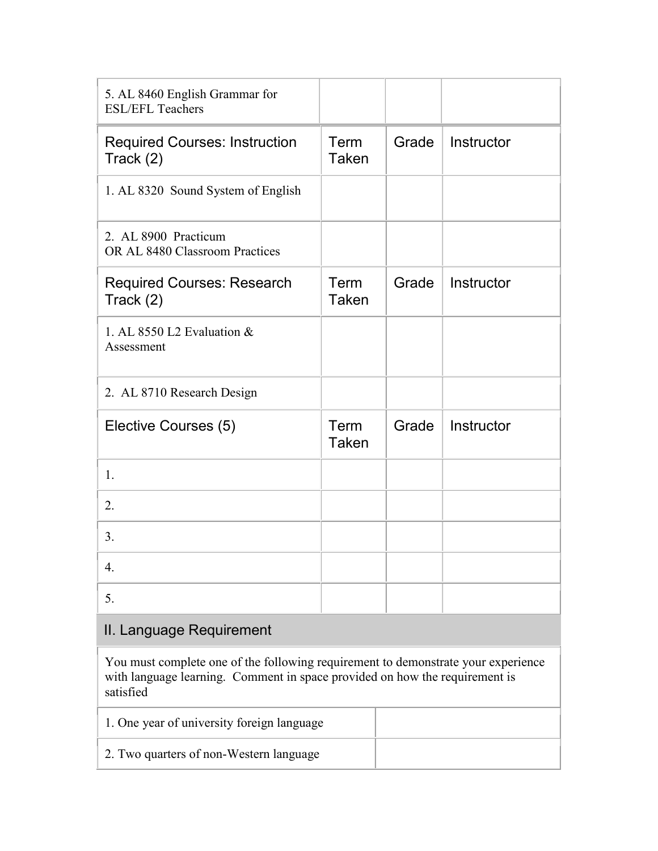| 5. AL 8460 English Grammar for<br><b>ESL/EFL Teachers</b> |                      |       |            |
|-----------------------------------------------------------|----------------------|-------|------------|
| <b>Required Courses: Instruction</b><br>Track $(2)$       | Term<br><b>Taken</b> | Grade | Instructor |
| 1. AL 8320 Sound System of English                        |                      |       |            |
| 2. AL 8900 Practicum<br>OR AL 8480 Classroom Practices    |                      |       |            |
| <b>Required Courses: Research</b><br>Track $(2)$          | Term<br><b>Taken</b> | Grade | Instructor |
| 1. AL 8550 L2 Evaluation &<br>Assessment                  |                      |       |            |
| 2. AL 8710 Research Design                                |                      |       |            |
| Elective Courses (5)                                      | Term<br><b>Taken</b> | Grade | Instructor |
| 1.                                                        |                      |       |            |
| 2.                                                        |                      |       |            |
| 3.                                                        |                      |       |            |
| 4.                                                        |                      |       |            |
| 5.                                                        |                      |       |            |

## II. Language Requirement

You must complete one of the following requirement to demonstrate your experience with language learning. Comment in space provided on how the requirement is satisfied

| 1. One year of university foreign language |  |
|--------------------------------------------|--|
| 2. Two quarters of non-Western language    |  |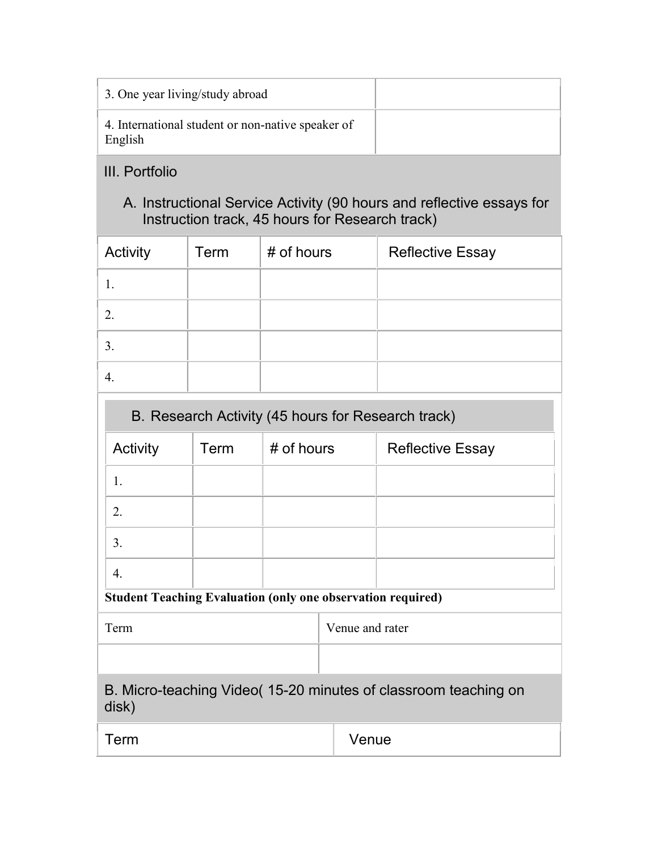| 3. One year living/study abroad                              |  |
|--------------------------------------------------------------|--|
| 4. International student or non-native speaker of<br>English |  |

## III. Portfolio

## A. Instructional Service Activity (90 hours and reflective essays for Instruction track, 45 hours for Research track)

| Activity | Term | # of hours | <b>Reflective Essay</b> |
|----------|------|------------|-------------------------|
|          |      |            |                         |
| 2.       |      |            |                         |
| 3.       |      |            |                         |
|          |      |            |                         |

| B. Research Activity (45 hours for Research track)                 |      |            |                         |
|--------------------------------------------------------------------|------|------------|-------------------------|
| Activity                                                           | Term | # of hours | <b>Reflective Essay</b> |
|                                                                    |      |            |                         |
| 2.                                                                 |      |            |                         |
| 3.                                                                 |      |            |                         |
| 4.                                                                 |      |            |                         |
| <b>Student Teaching Evaluation (only one observation required)</b> |      |            |                         |

Term Venue and rater

| B. Micro-teaching Video (15-20 minutes of classroom teaching on<br>disk) |  |
|--------------------------------------------------------------------------|--|

| $\overline{\phantom{a}}$<br>. | _<br>uv |
|-------------------------------|---------|
|                               |         |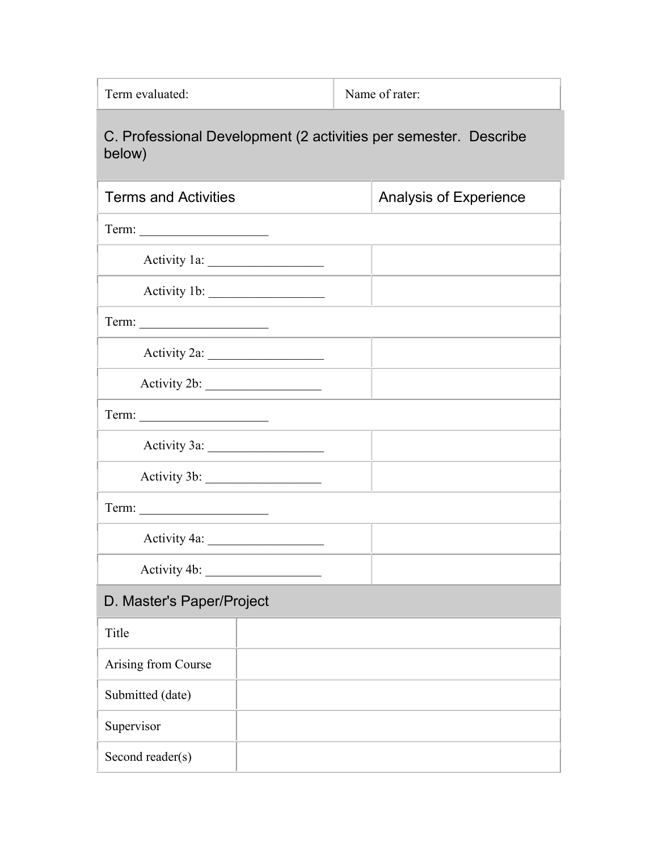Term evaluated: Name of rater:

## C. Professional Development (2 activities per semester. Describe below)

| <b>Terms and Activities</b> | Analysis of Experience |
|-----------------------------|------------------------|
|                             |                        |
|                             |                        |
|                             |                        |
|                             |                        |
|                             |                        |
| Activity 2b:                |                        |
| Term:                       |                        |
|                             |                        |
|                             |                        |
|                             |                        |
|                             |                        |
|                             |                        |
| D. Master's Paper/Project   |                        |
| Title                       |                        |
| Arising from Course         |                        |

| Submitted (date) |  |
|------------------|--|
| Supervisor       |  |
| Second reader(s) |  |